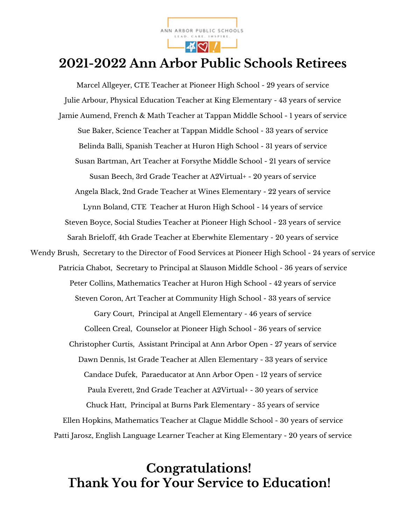

## **2021-2022 Ann Arbor Public Schools Retirees**

Marcel Allgeyer, CTE Teacher at Pioneer High School - 29 years of service Julie Arbour, Physical Education Teacher at King Elementary - 43 years of service Jamie Aumend, French & Math Teacher at Tappan Middle School - 1 years of service Sue Baker, Science Teacher at Tappan Middle School - 33 years of service Belinda Balli, Spanish Teacher at Huron High School - 31 years of service Susan Bartman, Art Teacher at Forsythe Middle School - 21 years of service Susan Beech, 3rd Grade Teacher at A2Virtual+ - 20 years of service Angela Black, 2nd Grade Teacher at Wines Elementary - 22 years of service Lynn Boland, CTE Teacher at Huron High School - 14 years of service Steven Boyce, Social Studies Teacher at Pioneer High School - 23 years of service Sarah Brieloff, 4th Grade Teacher at Eberwhite Elementary - 20 years of service Wendy Brush, Secretary to the Director of Food Services at Pioneer High School - 24 years of service Patricia Chabot, Secretary to Principal at Slauson Middle School - 36 years of service Peter Collins, Mathematics Teacher at Huron High School - 42 years of service Steven Coron, Art Teacher at Community High School - 33 years of service Gary Court, Principal at Angell Elementary - 46 years of service Colleen Creal, Counselor at Pioneer High School - 36 years of service Christopher Curtis, Assistant Principal at Ann Arbor Open - 27 years of service Dawn Dennis, 1st Grade Teacher at Allen Elementary - 33 years of service Candace Dufek, Paraeducator at Ann Arbor Open - 12 years of service Paula Everett, 2nd Grade Teacher at A2Virtual+ - 30 years of service Chuck Hatt, Principal at Burns Park Elementary - 35 years of service Ellen Hopkins, Mathematics Teacher at Clague Middle School - 30 years of service Patti Jarosz, English Language Learner Teacher at King Elementary - 20 years of service

#### **Congratulations! Thank You for Your Service to Education!**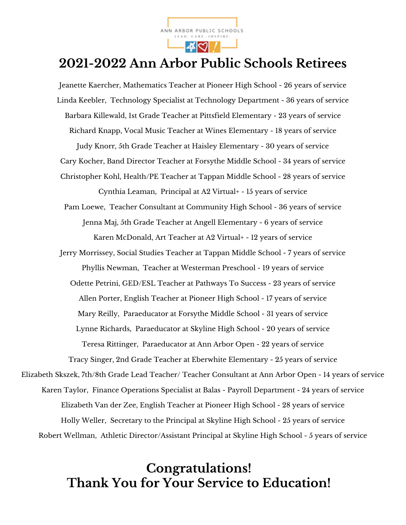

## **2021-2022 Ann Arbor Public Schools Retirees**

Jeanette Kaercher, Mathematics Teacher at Pioneer High School - 26 years of service Linda Keebler, Technology Specialist at Technology Department - 36 years of service Barbara Killewald, 1st Grade Teacher at Pittsfield Elementary - 23 years of service Richard Knapp, Vocal Music Teacher at Wines Elementary - 18 years of service Judy Knorr, 5th Grade Teacher at Haisley Elementary - 30 years of service Cary Kocher, Band Director Teacher at Forsythe Middle School - 34 years of service Christopher Kohl, Health/PE Teacher at Tappan Middle School - 28 years of service Cynthia Leaman, Principal at A2 Virtual+ - 15 years of service Pam Loewe, Teacher Consultant at Community High School - 36 years of service Jenna Maj, 5th Grade Teacher at Angell Elementary - 6 years of service Karen McDonald, Art Teacher at A2 Virtual+ - 12 years of service Jerry Morrissey, Social Studies Teacher at Tappan Middle School - 7 years of service Phyllis Newman, Teacher at Westerman Preschool - 19 years of service Odette Petrini, GED/ESL Teacher at Pathways To Success - 23 years of service Allen Porter, English Teacher at Pioneer High School - 17 years of service Mary Reilly, Paraeducator at Forsythe Middle School - 31 years of service Lynne Richards, Paraeducator at Skyline High School - 20 years of service Teresa Rittinger, Paraeducator at Ann Arbor Open - 22 years of service Tracy Singer, 2nd Grade Teacher at Eberwhite Elementary - 25 years of service Elizabeth Skszek, 7th/8th Grade Lead Teacher/ Teacher Consultant at Ann Arbor Open - 14 years of service Karen Taylor, Finance Operations Specialist at Balas - Payroll Department - 24 years of service Elizabeth Van der Zee, English Teacher at Pioneer High School - 28 years of service Holly Weller, Secretary to the Principal at Skyline High School - 25 years of service Robert Wellman, Athletic Director/Assistant Principal at Skyline High School - 5 years of service

#### **Congratulations! Thank You for Your Service to Education!**